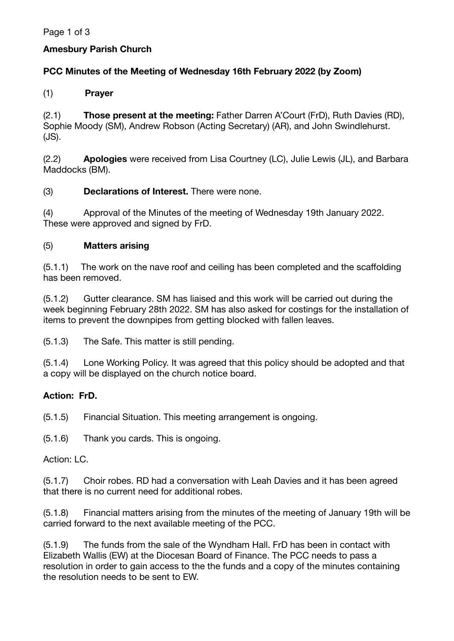Page 1 of 3

## **Amesbury Parish Church**

### **PCC Minutes of the Meeting of Wednesday 16th February 2022 (by Zoom)**

### (1) **Prayer**

(2.1) **Those present at the meeting:** Father Darren A'Court (FrD), Ruth Davies (RD), Sophie Moody (SM), Andrew Robson (Acting Secretary) (AR), and John Swindlehurst. (JS).

(2.2) **Apologies** were received from Lisa Courtney (LC), Julie Lewis (JL), and Barbara Maddocks (BM).

#### (3) **Declarations of Interest.** There were none.

(4) Approval of the Minutes of the meeting of Wednesday 19th January 2022. These were approved and signed by FrD.

#### (5) **Matters arising**

(5.1.1) The work on the nave roof and ceiling has been completed and the scaffolding has been removed.

(5.1.2) Gutter clearance. SM has liaised and this work will be carried out during the week beginning February 28th 2022. SM has also asked for costings for the installation of items to prevent the downpipes from getting blocked with fallen leaves.

(5.1.3) The Safe. This matter is still pending.

(5.1.4) Lone Working Policy. It was agreed that this policy should be adopted and that a copy will be displayed on the church notice board.

# **Action: FrD.**

(5.1.5) Financial Situation. This meeting arrangement is ongoing.

(5.1.6) Thank you cards. This is ongoing.

#### Action: LC.

(5.1.7) Choir robes. RD had a conversation with Leah Davies and it has been agreed that there is no current need for additional robes.

(5.1.8) Financial matters arising from the minutes of the meeting of January 19th will be carried forward to the next available meeting of the PCC.

(5.1.9) The funds from the sale of the Wyndham Hall. FrD has been in contact with Elizabeth Wallis (EW) at the Diocesan Board of Finance. The PCC needs to pass a resolution in order to gain access to the the funds and a copy of the minutes containing the resolution needs to be sent to EW.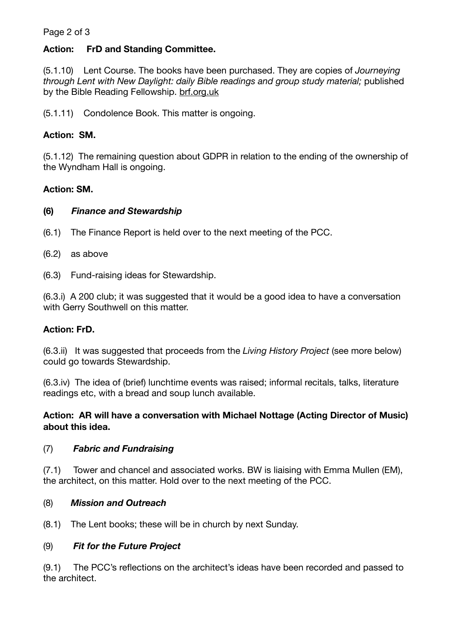#### Page 2 of 3

### **Action: FrD and Standing Committee.**

(5.1.10) Lent Course. The books have been purchased. They are copies of *Journeying through Lent with New Daylight: daily Bible readings and group study material;* published by the Bible Reading Fellowship. [brf.org.uk](http://brf.org.uk)

(5.1.11) Condolence Book. This matter is ongoing.

### **Action: SM.**

(5.1.12) The remaining question about GDPR in relation to the ending of the ownership of the Wyndham Hall is ongoing.

#### **Action: SM.**

#### **(6)** *Finance and Stewardship*

- (6.1) The Finance Report is held over to the next meeting of the PCC.
- (6.2) as above
- (6.3) Fund-raising ideas for Stewardship.

(6.3.i) A 200 club; it was suggested that it would be a good idea to have a conversation with Gerry Southwell on this matter.

#### **Action: FrD.**

(6.3.ii) It was suggested that proceeds from the *Living History Project* (see more below) could go towards Stewardship.

(6.3.iv) The idea of (brief) lunchtime events was raised; informal recitals, talks, literature readings etc, with a bread and soup lunch available.

#### **Action: AR will have a conversation with Michael Nottage (Acting Director of Music) about this idea.**

# (7) *Fabric and Fundraising*

(7.1) Tower and chancel and associated works. BW is liaising with Emma Mullen (EM), the architect, on this matter. Hold over to the next meeting of the PCC.

#### (8) *Mission and Outreach*

(8.1) The Lent books; these will be in church by next Sunday.

#### (9) *Fit for the Future Project*

(9.1) The PCC's reflections on the architect's ideas have been recorded and passed to the architect.